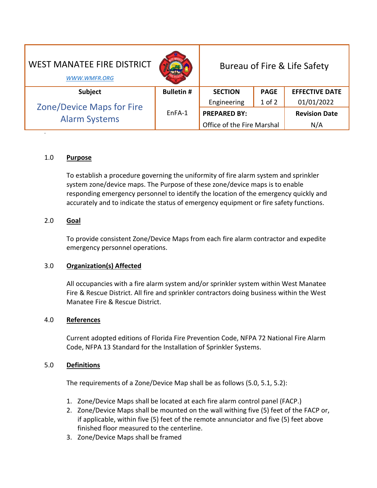| <b>WEST MANATEE FIRE DISTRICT</b><br>WWW.WMFR.ORG        |                  | Bureau of Fire & Life Safety |             |                       |
|----------------------------------------------------------|------------------|------------------------------|-------------|-----------------------|
| <b>Subject</b>                                           | <b>Bulletin#</b> | <b>SECTION</b>               | <b>PAGE</b> | <b>EFFECTIVE DATE</b> |
| <b>Zone/Device Maps for Fire</b><br><b>Alarm Systems</b> | EnFA-1           | Engineering                  | $1$ of $2$  | 01/01/2022            |
|                                                          |                  | <b>PREPARED BY:</b>          |             | <b>Revision Date</b>  |
|                                                          |                  | Office of the Fire Marshal   |             | N/A                   |

## 1.0 **Purpose**

-

To establish a procedure governing the uniformity of fire alarm system and sprinkler system zone/device maps. The Purpose of these zone/device maps is to enable responding emergency personnel to identify the location of the emergency quickly and accurately and to indicate the status of emergency equipment or fire safety functions.

# 2.0 **Goal**

To provide consistent Zone/Device Maps from each fire alarm contractor and expedite emergency personnel operations.

## 3.0 **Organization(s) Affected**

All occupancies with a fire alarm system and/or sprinkler system within West Manatee Fire & Rescue District. All fire and sprinkler contractors doing business within the West Manatee Fire & Rescue District.

### 4.0 **References**

Current adopted editions of Florida Fire Prevention Code, NFPA 72 National Fire Alarm Code, NFPA 13 Standard for the Installation of Sprinkler Systems.

### 5.0 **Definitions**

The requirements of a Zone/Device Map shall be as follows (5.0, 5.1, 5.2):

- 1. Zone/Device Maps shall be located at each fire alarm control panel (FACP.)
- 2. Zone/Device Maps shall be mounted on the wall withing five (5) feet of the FACP or, if applicable, within five (5) feet of the remote annunciator and five (5) feet above finished floor measured to the centerline.
- 3. Zone/Device Maps shall be framed